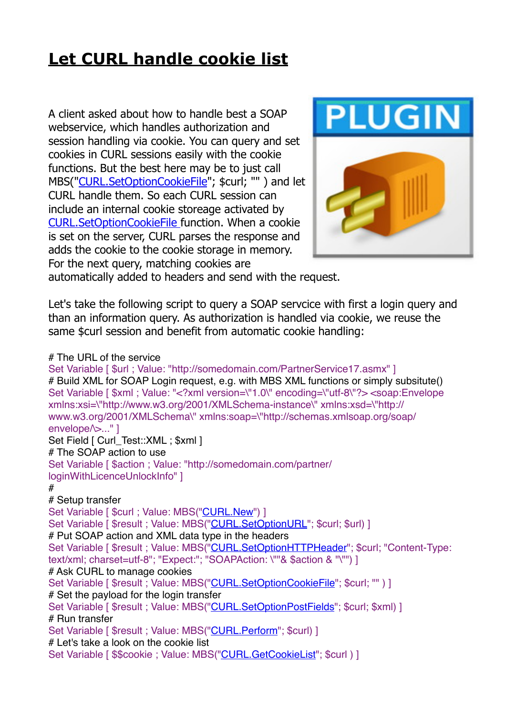## **[Let CURL handle cookie list](https://www.mbs-plugins.com/archive/2019-02-28/Let_CURL_handle_cookie_list/monkeybreadsoftware_blog_filemaker)**

A client asked about how to handle best a SOAP webservice, which handles authorization and session handling via cookie. You can query and set cookies in CURL sessions easily with the cookie functions. But the best here may be to just call MBS(["CURL.SetOptionCookieFile](http://www.mbsplugins.eu/CURLSetOptionCookieFile.shtml)"; \$curl; "" ) and let CURL handle them. So each CURL session can include an internal cookie storeage activated by [CURL.SetOptionCookieFile](http://www.mbsplugins.eu/CURLSetOptionCookieFile.shtml) function. When a cookie is set on the server, CURL parses the response and adds the cookie to the cookie storage in memory. For the next query, matching cookies are



automatically added to headers and send with the request.

Let's take the following script to query a SOAP servcice with first a login query and than an information query. As authorization is handled via cookie, we reuse the same \$curl session and benefit from automatic cookie handling:

## # The URL of the service

Set Variable [ \$url : Value: "http://somedomain.com/PartnerService17.asmx" ] # Build XML for SOAP Login request, e.g. with MBS XML functions or simply subsitute() Set Variable [ \$xml ; Value: "<?xml version=\"1.0\" encoding=\"utf-8\"?> <soap:Envelope xmlns:xsi=\"http://www.w3.org/2001/XMLSchema-instance\" xmlns:xsd=\"http:// www.w3.org/2001/XMLSchema\" xmlns:soap=\"http://schemas.xmlsoap.org/soap/ envelope/>..." ] Set Field [ Curl\_Test::XML : \$xml ] # The SOAP action to use Set Variable [ \$action ; Value: "http://somedomain.com/partner/ loginWithLicenceUnlockInfo" ] # # Setup transfer Set Variable [ \$curl ; Value: MBS(["CURL.New](http://www.mbsplugins.eu/CURLNew.shtml)") ] Set Variable [ \$result ; Value: MBS(["CURL.SetOptionURL](http://www.mbsplugins.eu/CURLSetOptionURL.shtml)"; \$curl; \$url) ] # Put SOAP action and XML data type in the headers Set Variable [ \$result ; Value: MBS(["CURL.SetOptionHTTPHeader](http://www.mbsplugins.eu/CURLSetOptionHTTPHeader.shtml)"; \$curl; "Content-Type: text/xml; charset=utf-8"; "Expect:"; "SOAPAction: \""& \$action & "\"") ] # Ask CURL to manage cookies Set Variable [ \$result ; Value: MBS(["CURL.SetOptionCookieFile](http://www.mbsplugins.eu/CURLSetOptionCookieFile.shtml)"; \$curl; "" ) ] # Set the payload for the login transfer Set Variable [ \$result ; Value: MBS(["CURL.SetOptionPostFields](http://www.mbsplugins.eu/CURLSetOptionPostFields.shtml)"; \$curl; \$xml) ] # Run transfer Set Variable [ \$result ; Value: MBS(["CURL.Perform"](http://www.mbsplugins.eu/CURLPerform.shtml); \$curl) ] # Let's take a look on the cookie list Set Variable [ \$\$cookie ; Value: MBS(["CURL.GetCookieList](http://www.mbsplugins.eu/CURLGetCookieList.shtml)"; \$curl ) ]